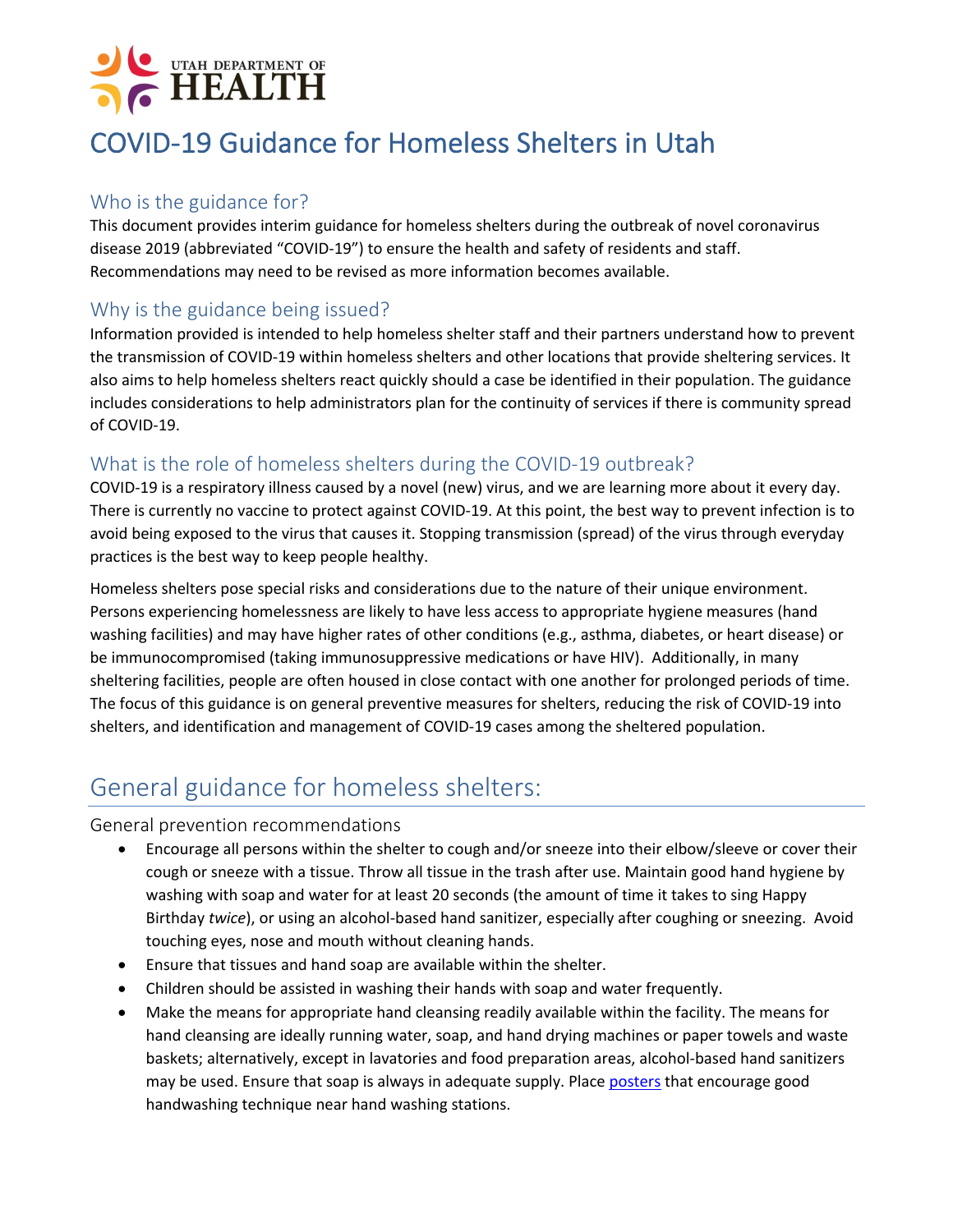# UTAH DEPARTMENT OF **HEALTH**

## COVID-19 Guidance for Homeless Shelters in Utah

#### Who is the guidance for?

This document provides interim guidance for homeless shelters during the outbreak of novel coronavirus disease 2019 (abbreviated "COVID-19") to ensure the health and safety of residents and staff. Recommendations may need to be revised as more information becomes available.

#### Why is the guidance being issued?

Information provided is intended to help homeless shelter staff and their partners understand how to prevent the transmission of COVID-19 within homeless shelters and other locations that provide sheltering services. It also aims to help homeless shelters react quickly should a case be identified in their population. The guidance includes considerations to help administrators plan for the continuity of services if there is community spread of COVID-19.

#### What is the role of homeless shelters during the COVID-19 outbreak?

COVID-19 is a respiratory illness caused by a novel (new) virus, and we are learning more about it every day. There is currently no vaccine to protect against COVID-19. At this point, the best way to prevent infection is to avoid being exposed to the virus that causes it. Stopping transmission (spread) of the virus through everyday practices is the best way to keep people healthy.

Homeless shelters pose special risks and considerations due to the nature of their unique environment. Persons experiencing homelessness are likely to have less access to appropriate hygiene measures (hand washing facilities) and may have higher rates of other conditions (e.g., asthma, diabetes, or heart disease) or be immunocompromised (taking immunosuppressive medications or have HIV). Additionally, in many sheltering facilities, people are often housed in close contact with one another for prolonged periods of time. The focus of this guidance is on general preventive measures for shelters, reducing the risk of COVID-19 into shelters, and identification and management of COVID-19 cases among the sheltered population.

### General guidance for homeless shelters:

#### General prevention recommendations

- Encourage all persons within the shelter to cough and/or sneeze into their elbow/sleeve or cover their cough or sneeze with a tissue. Throw all tissue in the trash after use. Maintain good hand hygiene by washing with soap and water for at least 20 seconds (the amount of time it takes to sing Happy Birthday *twice*), or using an alcohol-based hand sanitizer, especially after coughing or sneezing. Avoid touching eyes, nose and mouth without cleaning hands.
- Ensure that tissues and hand soap are available within the shelter.
- Children should be assisted in washing their hands with soap and water frequently.
- Make the means for appropriate hand cleansing readily available within the facility. The means for hand cleansing are ideally running water, soap, and hand drying machines or paper towels and waste baskets; alternatively, except in lavatories and food preparation areas, alcohol-based hand sanitizers may be used. Ensure that soap is always in adequate supply. Place posters that encourage good handwashing technique near hand washing stations.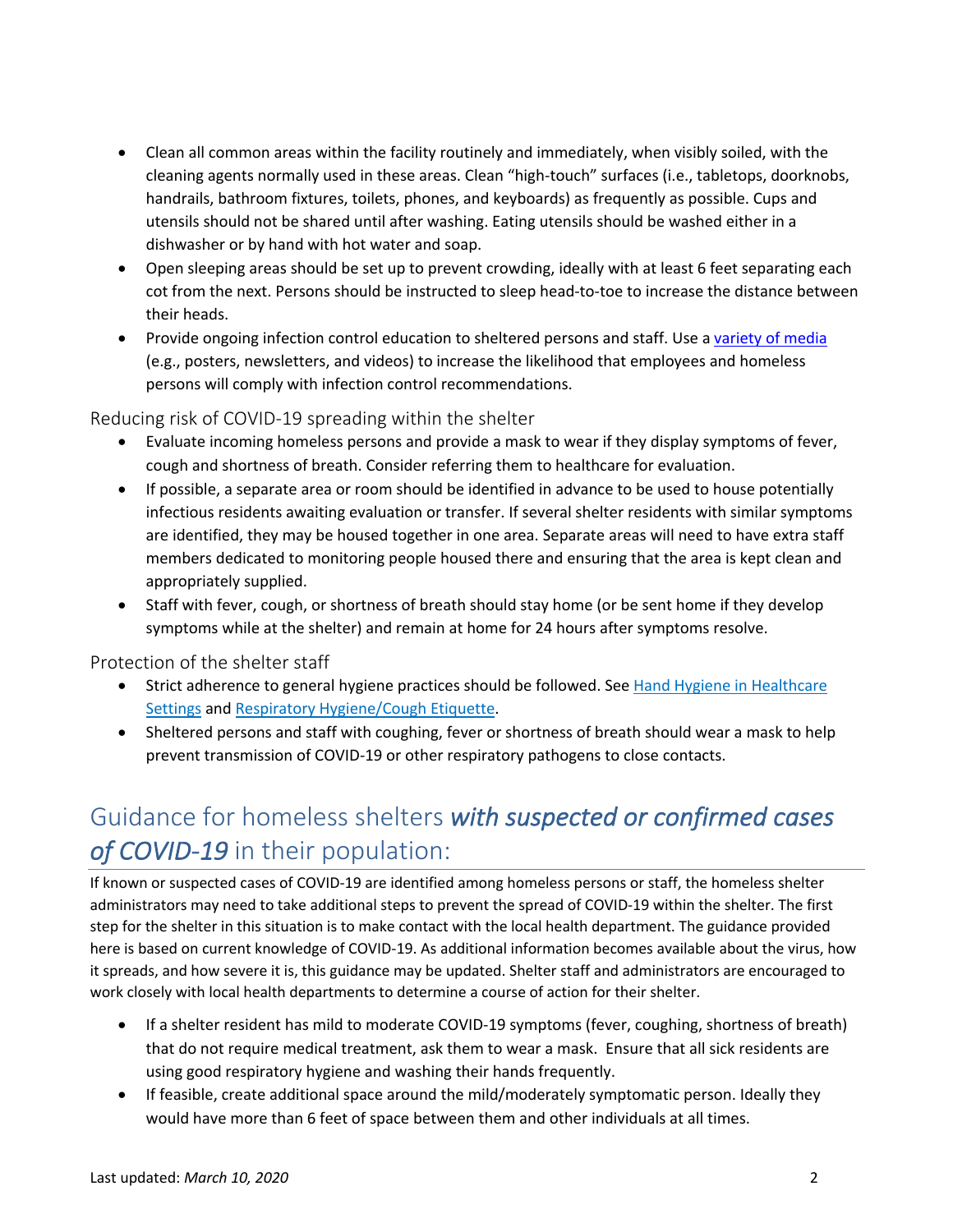- Clean all common areas within the facility routinely and immediately, when visibly soiled, with the cleaning agents normally used in these areas. Clean "high-touch" surfaces (i.e., tabletops, doorknobs, handrails, bathroom fixtures, toilets, phones, and keyboards) as frequently as possible. Cups and utensils should not be shared until after washing. Eating utensils should be washed either in a dishwasher or by hand with hot water and soap.
- Open sleeping areas should be set up to prevent crowding, ideally with at least 6 feet separating each cot from the next. Persons should be instructed to sleep head-to-toe to increase the distance between their heads.
- Provide ongoing infection control education to sheltered persons and staff. Use a variety of media (e.g., posters, newsletters, and videos) to increase the likelihood that employees and homeless persons will comply with infection control recommendations.

Reducing risk of COVID-19 spreading within the shelter

- Evaluate incoming homeless persons and provide a mask to wear if they display symptoms of fever, cough and shortness of breath. Consider referring them to healthcare for evaluation.
- If possible, a separate area or room should be identified in advance to be used to house potentially infectious residents awaiting evaluation or transfer. If several shelter residents with similar symptoms are identified, they may be housed together in one area. Separate areas will need to have extra staff members dedicated to monitoring people housed there and ensuring that the area is kept clean and appropriately supplied.
- Staff with fever, cough, or shortness of breath should stay home (or be sent home if they develop symptoms while at the shelter) and remain at home for 24 hours after symptoms resolve.

Protection of the shelter staff

- Strict adherence to general hygiene practices should be followed. See Hand Hygiene in Healthcare Settings and Respiratory Hygiene/Cough Etiquette.
- Sheltered persons and staff with coughing, fever or shortness of breath should wear a mask to help prevent transmission of COVID-19 or other respiratory pathogens to close contacts.

### Guidance for homeless shelters *with suspected or confirmed cases of COVID-19* in their population:

If known or suspected cases of COVID-19 are identified among homeless persons or staff, the homeless shelter administrators may need to take additional steps to prevent the spread of COVID-19 within the shelter. The first step for the shelter in this situation is to make contact with the local health department. The guidance provided here is based on current knowledge of COVID-19. As additional information becomes available about the virus, how it spreads, and how severe it is, this guidance may be updated. Shelter staff and administrators are encouraged to work closely with local health departments to determine a course of action for their shelter.

- If a shelter resident has mild to moderate COVID-19 symptoms (fever, coughing, shortness of breath) that do not require medical treatment, ask them to wear a mask. Ensure that all sick residents are using good respiratory hygiene and washing their hands frequently.
- If feasible, create additional space around the mild/moderately symptomatic person. Ideally they would have more than 6 feet of space between them and other individuals at all times.